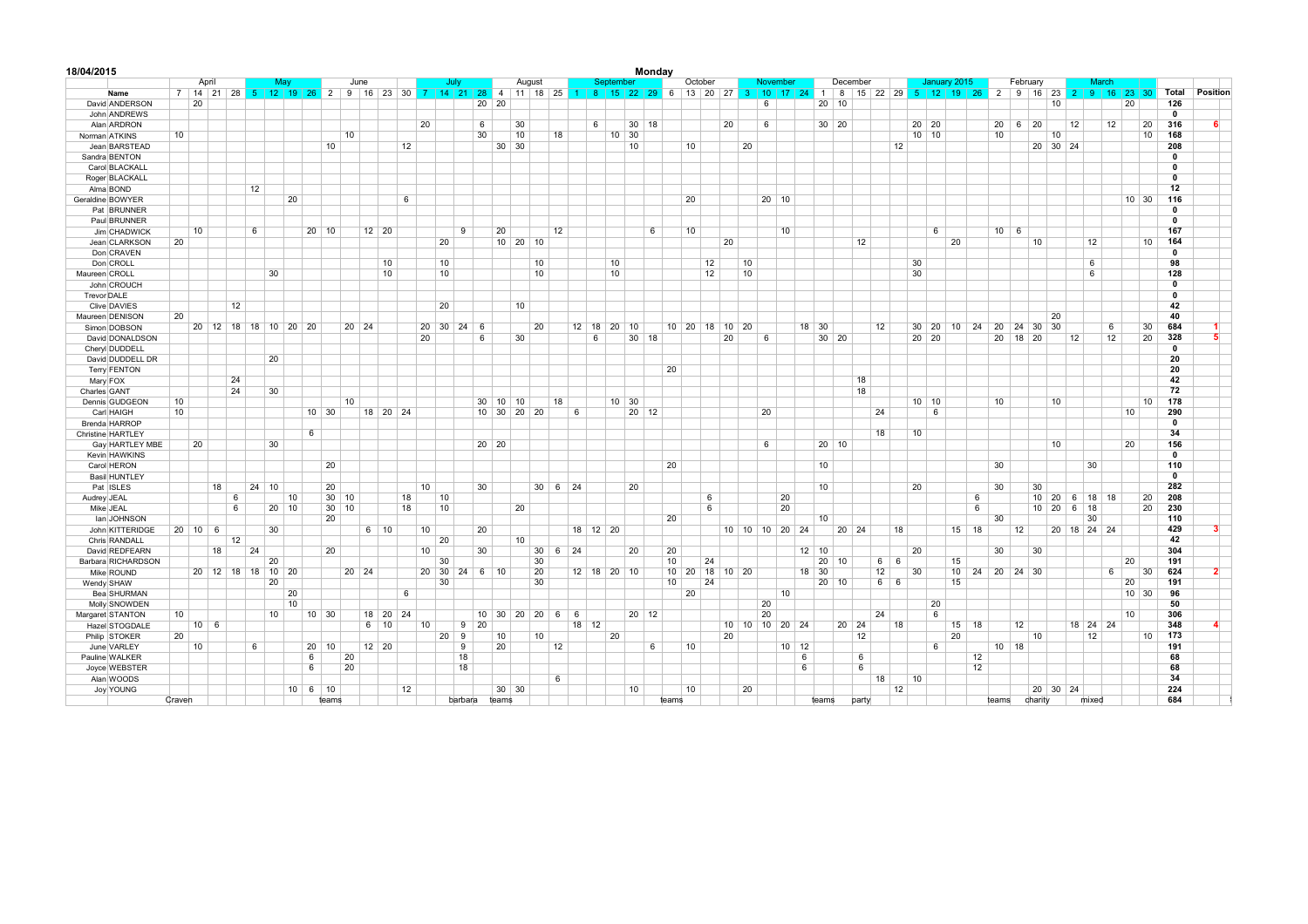| 18/04/2015                        |        |                     |                   |    |              |                      |               |                 |                                    |                      |    |              |                             |                       |                 |                           |               |    |              |                    | Monday  |                                     |                      |         |    |                    |                            |               |              |          |            |    |         |                       |              |             |         |                   |             |          |              |                 |              |              |
|-----------------------------------|--------|---------------------|-------------------|----|--------------|----------------------|---------------|-----------------|------------------------------------|----------------------|----|--------------|-----------------------------|-----------------------|-----------------|---------------------------|---------------|----|--------------|--------------------|---------|-------------------------------------|----------------------|---------|----|--------------------|----------------------------|---------------|--------------|----------|------------|----|---------|-----------------------|--------------|-------------|---------|-------------------|-------------|----------|--------------|-----------------|--------------|--------------|
|                                   |        | April               |                   |    |              | Mav                  |               |                 | June                               |                      |    |              | July                        |                       |                 | August                    |               |    |              | September          |         |                                     | October              |         |    | November           |                            |               | December     |          |            |    |         | January 2015          |              | February    |         |                   |             | March    |              |                 |              |              |
| Name                              |        | 7 14 21 28 5        |                   |    |              | $12$ 19 26           |               |                 | $2 \mid 9 \mid 16 \mid 23 \mid 30$ |                      |    |              |                             |                       |                 | 7 14 21 28 4 11 18 25 1 8 |               |    |              |                    |         | 15   22   29   6   13   20   27   3 |                      |         |    | $\vert$ 10 $\vert$ | 17 24 1 8 15 22 29 5 12 19 |               |              |          |            |    |         | 26                    |              | 2 9 16 23 2 |         |                   |             | -9       | 16 23        | 30 <sup>°</sup> | Total        | Position     |
| David ANDERSON                    |        | 20                  |                   |    |              |                      |               |                 |                                    |                      |    |              |                             | 20                    | $\overline{20}$ |                           |               |    |              |                    |         |                                     |                      |         |    | 6                  |                            |               | $20 \mid 10$ |          |            |    |         |                       |              |             |         | 10                |             |          | 20           |                 | 126          |              |
| John ANDREWS                      |        |                     |                   |    |              |                      |               |                 |                                    |                      |    |              |                             |                       |                 |                           |               |    |              |                    |         |                                     |                      |         |    |                    |                            |               |              |          |            |    |         |                       |              |             |         |                   |             |          |              |                 | $\mathbf 0$  |              |
| Alan ARDRON                       |        |                     |                   |    |              |                      |               |                 |                                    |                      |    | 20           |                             | 6                     |                 | 30                        |               |    | 6            |                    | $30$ 18 |                                     |                      | 20      |    | 6                  |                            |               | 30 20        |          |            |    | 20 20   |                       | 20           | 6           | 20      |                   | 12          | 12       |              | 20              | 316          | 6            |
| Norman ATKINS                     | 10     |                     |                   |    |              |                      |               |                 | 10                                 |                      |    |              |                             | 30                    |                 | 10                        | 18            |    |              | 10<br>30           |         |                                     |                      |         |    |                    |                            |               |              |          |            |    | 10   10 |                       | 10           |             |         | 10                |             |          |              | 10              | 168          |              |
| Jean BARSTEAD                     |        |                     |                   |    |              |                      |               | 10              |                                    |                      | 12 |              |                             |                       | $30 \mid 30$    |                           |               |    |              | 10                 |         |                                     | 10                   |         | 20 |                    |                            |               |              |          | 12         |    |         |                       |              |             |         | 20 30 24          |             |          |              |                 | 208          |              |
| Sandra BENTON                     |        |                     |                   |    |              |                      |               |                 |                                    |                      |    |              |                             |                       |                 |                           |               |    |              |                    |         |                                     |                      |         |    |                    |                            |               |              |          |            |    |         |                       |              |             |         |                   |             |          |              |                 | $\mathbf 0$  |              |
| Carol BLACKALL                    |        |                     |                   |    |              |                      |               |                 |                                    |                      |    |              |                             |                       |                 |                           |               |    |              |                    |         |                                     |                      |         |    |                    |                            |               |              |          |            |    |         |                       |              |             |         |                   |             |          |              |                 | $^{\circ}$   |              |
| Roger BLACKALL                    |        |                     |                   |    |              |                      |               |                 |                                    |                      |    |              |                             |                       |                 |                           |               |    |              |                    |         |                                     |                      |         |    |                    |                            |               |              |          |            |    |         |                       |              |             |         |                   |             |          |              |                 | $\Omega$     |              |
| Alma BOND                         |        |                     |                   | 12 |              |                      |               |                 |                                    |                      |    |              |                             |                       |                 |                           |               |    |              |                    |         |                                     |                      |         |    |                    |                            |               |              |          |            |    |         |                       |              |             |         |                   |             |          |              |                 | 12           |              |
| Geraldine BOWYER                  |        |                     |                   |    |              | 20                   |               |                 |                                    |                      | 6  |              |                             |                       |                 |                           |               |    |              |                    |         |                                     | 20                   |         |    | $20 \mid 10$       |                            |               |              |          |            |    |         |                       |              |             |         |                   |             |          | $10 \mid 30$ |                 | 116          |              |
| Pat BRUNNER                       |        |                     |                   |    |              |                      |               |                 |                                    |                      |    |              |                             |                       |                 |                           |               |    |              |                    |         |                                     |                      |         |    |                    |                            |               |              |          |            |    |         |                       |              |             |         |                   |             |          |              |                 | $\Omega$     |              |
| Paul BRUNNER                      |        |                     |                   |    |              |                      |               |                 |                                    |                      |    |              |                             |                       |                 |                           |               |    |              |                    |         |                                     |                      |         |    |                    |                            |               |              |          |            |    |         |                       |              |             |         |                   |             |          |              |                 | $\mathbf 0$  |              |
| Jim CHADWICK                      |        | 10                  |                   | 6  |              |                      | $20$ 10       |                 |                                    | $12$ 20              |    |              |                             | 9                     | 20              |                           | 12            |    |              |                    | 6       |                                     | 10                   |         |    |                    | 10                         |               |              |          |            |    | 6       |                       | $10 \quad 6$ |             |         |                   |             |          |              |                 | 167          |              |
| Jean CLARKSON                     | 20     |                     |                   |    |              |                      |               |                 |                                    |                      |    |              | 20                          |                       |                 | $10 \mid 20 \mid 10$      |               |    |              |                    |         |                                     |                      | 20      |    |                    |                            |               |              | 12       |            |    |         | 20                    |              |             | 10      |                   |             | 12       |              | 10              | 164          |              |
| Don CRAVEN                        |        |                     |                   |    |              |                      |               |                 |                                    |                      |    |              |                             |                       |                 |                           |               |    |              |                    |         |                                     |                      |         |    |                    |                            |               |              |          |            |    |         |                       |              |             |         |                   |             |          |              |                 | $\Omega$     |              |
| Don CROLL                         |        |                     |                   |    |              |                      |               |                 |                                    | 10                   |    |              | 10                          |                       |                 | 10                        |               |    |              | 10                 |         |                                     | 12                   |         | 10 |                    |                            |               |              |          |            | 30 |         |                       |              |             |         |                   |             | 6        |              |                 | 98           |              |
| Maureen CROLL                     |        |                     |                   |    | 30           |                      |               |                 |                                    | 10                   |    |              | 10                          |                       |                 | 10                        |               |    |              | 10                 |         |                                     | 12                   |         | 10 |                    |                            |               |              |          |            | 30 |         |                       |              |             |         |                   |             | 6        |              |                 | 128          |              |
| John CROUCH                       |        |                     |                   |    |              |                      |               |                 |                                    |                      |    |              |                             |                       |                 |                           |               |    |              |                    |         |                                     |                      |         |    |                    |                            |               |              |          |            |    |         |                       |              |             |         |                   |             |          |              |                 | $\Omega$     |              |
| Trevor DALE                       |        |                     |                   |    |              |                      |               |                 |                                    |                      |    |              |                             |                       |                 |                           |               |    |              |                    |         |                                     |                      |         |    |                    |                            |               |              |          |            |    |         |                       |              |             |         |                   |             |          |              |                 | $\mathbf{0}$ |              |
| Clive DAVIES                      |        |                     | 12                |    |              |                      |               |                 |                                    |                      |    |              | 20                          |                       |                 | 10                        |               |    |              |                    |         |                                     |                      |         |    |                    |                            |               |              |          |            |    |         |                       |              |             |         |                   |             |          |              |                 | 42           |              |
| Maureen DENISON                   | 20     |                     |                   |    |              |                      |               |                 |                                    |                      |    |              |                             |                       |                 |                           |               |    |              |                    |         |                                     |                      |         |    |                    |                            |               |              |          |            |    |         |                       |              |             |         | 20                |             |          |              |                 | 40           |              |
| Simon DOBSON                      |        |                     |                   |    |              | 20 12 18 18 10 20 20 |               |                 | $20 \mid 24$                       |                      |    |              | $20 \mid 30 \mid 24 \mid 6$ |                       |                 | 20                        |               |    | $12 \mid 18$ | $ 20\rangle$<br>10 |         |                                     | $10 \mid 20 \mid 18$ | 10      | 20 |                    |                            | 18 30         |              |          | 12         | 30 | 20      | 10 <sup>1</sup><br>24 | -20          | 24          | 30      | 30                |             | 6        |              | 30              | 684          |              |
|                                   |        |                     |                   |    |              |                      |               |                 |                                    |                      |    | 20           |                             | 6                     |                 | 30                        |               |    | 6            |                    | $30$ 18 |                                     |                      | 20      |    | 6                  |                            |               | $30$ 20      |          |            |    | $20$ 20 |                       | 20           | 18          | 20      |                   | 12          | 12       |              | 20              | 328          | 5            |
| David DONALDSON<br>Cheryl DUDDELL |        |                     |                   |    |              |                      |               |                 |                                    |                      |    |              |                             |                       |                 |                           |               |    |              |                    |         |                                     |                      |         |    |                    |                            |               |              |          |            |    |         |                       |              |             |         |                   |             |          |              |                 | $^{\circ}$   |              |
|                                   |        |                     |                   |    | 20           |                      |               |                 |                                    |                      |    |              |                             |                       |                 |                           |               |    |              |                    |         |                                     |                      |         |    |                    |                            |               |              |          |            |    |         |                       |              |             |         |                   |             |          |              |                 | 20           |              |
| David DUDDELL DR                  |        |                     |                   |    |              |                      |               |                 |                                    |                      |    |              |                             |                       |                 |                           |               |    |              |                    |         | 20                                  |                      |         |    |                    |                            |               |              |          |            |    |         |                       |              |             |         |                   |             |          |              |                 | 20           |              |
| <b>Terry FENTON</b>               |        |                     |                   |    |              |                      |               |                 |                                    |                      |    |              |                             |                       |                 |                           |               |    |              |                    |         |                                     |                      |         |    |                    |                            |               |              |          |            |    |         |                       |              |             |         |                   |             |          |              |                 | 42           |              |
| Mary FOX                          |        |                     | 24                |    | 30           |                      |               |                 |                                    |                      |    |              |                             |                       |                 |                           |               |    |              |                    |         |                                     |                      |         |    |                    |                            |               |              | 18<br>18 |            |    |         |                       |              |             |         |                   |             |          |              |                 | 72           |              |
| Charles GANT                      |        |                     | 24                |    |              |                      |               |                 |                                    |                      |    |              |                             |                       |                 |                           |               |    |              |                    |         |                                     |                      |         |    |                    |                            |               |              |          |            |    |         |                       |              |             |         |                   |             |          |              |                 |              |              |
| Dennis GUDGEON                    | 10     |                     |                   |    |              |                      |               |                 | 10                                 |                      |    |              |                             |                       | $30 \mid 10$    | 10                        | 18            |    |              | $10 \mid 30$       |         |                                     |                      |         |    |                    |                            |               |              |          |            |    | 10   10 |                       | 10           |             |         | 10                |             |          |              | 10              | 178          |              |
| Carl HAIGH                        | 10     |                     |                   |    |              |                      | $10 \mid 30$  |                 |                                    | 18 20 24             |    |              |                             |                       |                 | 10 30 20 20               |               | 6  |              |                    | $20$ 12 |                                     |                      |         |    | 20                 |                            |               |              |          | 24         |    | 6       |                       |              |             |         |                   |             |          | 10           |                 | 290          |              |
| Brenda HARROP                     |        |                     |                   |    |              |                      |               |                 |                                    |                      |    |              |                             |                       |                 |                           |               |    |              |                    |         |                                     |                      |         |    |                    |                            |               |              |          |            |    |         |                       |              |             |         |                   |             |          |              |                 | $\Omega$     |              |
| <b>Christine HARTLEY</b>          |        |                     |                   |    |              |                      | 6             |                 |                                    |                      |    |              |                             |                       |                 |                           |               |    |              |                    |         |                                     |                      |         |    |                    |                            |               |              |          | 18         | 10 |         |                       |              |             |         |                   |             |          |              |                 | 34           |              |
| Gay HARTLEY MBE                   |        | 20                  |                   |    | 30           |                      |               |                 |                                    |                      |    |              |                             |                       | 20 20           |                           |               |    |              |                    |         |                                     |                      |         |    | 6                  |                            |               | $20 \mid 10$ |          |            |    |         |                       |              |             |         | 10                |             |          | 20           |                 | 156          |              |
| Kevin HAWKINS                     |        |                     |                   |    |              |                      |               |                 |                                    |                      |    |              |                             |                       |                 |                           |               |    |              |                    |         |                                     |                      |         |    |                    |                            |               |              |          |            |    |         |                       |              |             |         |                   |             |          |              |                 | $\mathbf{0}$ |              |
| Carol HERON                       |        |                     |                   |    |              |                      |               | 20              |                                    |                      |    |              |                             |                       |                 |                           |               |    |              |                    |         | 20                                  |                      |         |    |                    |                            | 10            |              |          |            |    |         |                       | 30           |             |         |                   |             | 30       |              |                 | 110          |              |
| <b>Basil HUNTLEY</b>              |        |                     |                   |    |              |                      |               |                 |                                    |                      |    |              |                             |                       |                 |                           |               |    |              |                    |         |                                     |                      |         |    |                    |                            |               |              |          |            |    |         |                       |              |             |         |                   |             |          |              |                 | $\mathbf{0}$ |              |
| Pat ISLES                         |        |                     | 18                |    | $24 \mid 10$ |                      |               | 20              |                                    |                      |    | 10           |                             | 30                    |                 |                           | $30 \t6 \t24$ |    |              | 20                 |         |                                     |                      |         |    |                    |                            | 10            |              |          |            | 20 |         |                       | 30           |             | 30      |                   |             |          |              |                 | 282          |              |
| Audrey JEAL                       |        |                     | 6                 |    |              | 10                   |               | 30 <sup>7</sup> | 10                                 |                      | 18 |              | 10                          |                       |                 |                           |               |    |              |                    |         |                                     | 6                    |         |    |                    | 20                         |               |              |          |            |    |         | 6                     |              |             |         | $10 \mid 20 \mid$ | 6 18        | 18       |              | 20              | 208          |              |
| Mike JEAL                         |        |                     | 6                 |    |              | $20 \mid 10$         |               | 30              | 10                                 |                      | 18 |              | 10                          |                       |                 | 20                        |               |    |              |                    |         |                                     | 6                    |         |    |                    | 20                         |               |              |          |            |    |         | 6                     |              |             |         | $10 \ 20 \ 6$     |             | 18       |              | 20              | 230          |              |
| lan JOHNSON                       |        |                     |                   |    |              |                      |               | 20              |                                    |                      |    |              |                             |                       |                 |                           |               |    |              |                    |         | 20                                  |                      |         |    |                    |                            | 10            |              |          |            |    |         |                       | 30           |             |         |                   |             | 30       |              |                 | 110          |              |
| John KITTERIDGE                   |        | $20 \mid 10 \mid 6$ |                   |    | 30           |                      |               |                 |                                    | $6 \mid 10$          |    | 10           |                             | 20                    |                 |                           |               |    | 18 12 20     |                    |         |                                     |                      |         |    |                    | 10 10 10 20 24             |               | 20           | 24       | 18         |    |         | $15$ 18               |              | 12          |         |                   | 20 18 24 24 |          |              |                 | 429          | $\mathbf{3}$ |
| Chris RANDALL                     |        |                     | 12                |    |              |                      |               |                 |                                    |                      |    |              | 20                          |                       |                 | 10                        |               |    |              |                    |         |                                     |                      |         |    |                    |                            |               |              |          |            |    |         |                       |              |             |         |                   |             |          |              |                 | 42           |              |
| David REDFEARN                    |        |                     | 18                | 24 |              |                      |               | 20              |                                    |                      |    | 10           |                             | 30                    |                 | 30                        | 6             | 24 |              | 20                 |         | 20                                  |                      |         |    |                    |                            | $12 \quad 10$ |              |          |            | 20 |         |                       | 30           |             | 30      |                   |             |          |              |                 | 304          |              |
| Barbara RICHARDSON                |        |                     |                   |    | 20           |                      |               |                 |                                    |                      |    |              | 30                          |                       |                 | 30                        |               |    |              |                    |         | 10                                  | 24                   |         |    |                    |                            | 20            | 10           |          | 6<br>6     |    |         | 15                    |              |             |         |                   |             |          | 20           |                 | 191          |              |
| Mike ROUND                        |        |                     | 20 12 18 18 10 20 |    |              |                      |               |                 | $20 \mid 24$                       |                      |    | $20 \mid 30$ |                             | $24 \quad 6 \quad 10$ |                 | 20                        |               |    |              | $12$ 18 20 10      |         | $10 \mid 20$                        | 18                   | $10$ 20 |    |                    | 18                         | 30            |              |          | 12         | 30 |         | 10<br>24              |              | $20$ 24 30  |         |                   |             | 6        |              | 30              | 624          | $\mathbf{2}$ |
| Wendy SHAW                        |        |                     |                   |    | 20           |                      |               |                 |                                    |                      |    |              | 30                          |                       |                 | 30                        |               |    |              |                    |         | 10                                  | 24                   |         |    |                    |                            |               | $20 \mid 10$ |          | $6 \mid 6$ |    |         | 15                    |              |             |         |                   |             |          | 20           |                 | 191          |              |
| Bea SHURMAN                       |        |                     |                   |    |              | 20                   |               |                 |                                    |                      | 6  |              |                             |                       |                 |                           |               |    |              |                    |         |                                     | 20                   |         |    |                    | 10                         |               |              |          |            |    |         |                       |              |             |         |                   |             |          | $10 \mid 30$ |                 | 96           |              |
| Molly SNOWDEN                     |        |                     |                   |    |              | 10                   |               |                 |                                    |                      |    |              |                             |                       |                 |                           |               |    |              |                    |         |                                     |                      |         |    | 20                 |                            |               |              |          |            |    | 20      |                       |              |             |         |                   |             |          |              |                 | 50           |              |
| Margaret STANTON                  | 10     |                     |                   |    | 10           |                      | $10 \mid 30$  |                 |                                    | 18 20 24             |    |              |                             |                       | $10 \mid 30$    | 20<br>20                  | 6             | 6  |              |                    | $20$ 12 |                                     |                      |         |    | 20                 |                            |               |              |          | 24         |    | 6       |                       |              |             |         |                   |             |          | 10           |                 | 306          |              |
| Hazel STOGDALE                    |        | $10 \quad 6$        |                   |    |              |                      |               |                 |                                    | 6 <sup>1</sup><br>10 |    | 10           |                             | 9<br>20               |                 |                           |               |    | $18$ 12      |                    |         |                                     |                      |         |    |                    | 10 10 10 20 24             |               | $20 \mid 24$ |          | 18         |    |         | 15<br>18              |              | 12          |         |                   |             | 18 24 24 |              |                 | 348          |              |
| Philip STOKER                     | 20     |                     |                   |    |              |                      |               |                 |                                    |                      |    |              | 20<br>9                     |                       | 10              | 10                        |               |    |              | 20                 |         |                                     |                      | 20      |    |                    |                            |               |              | 12       |            |    |         | 20                    |              |             | 10      |                   |             | 12       |              | 10              | 173          |              |
| June VARLEY                       |        | 10                  |                   | 6  |              |                      | 20            | 10              |                                    | $12$ 20              |    |              | 9                           |                       | 20              |                           | 12            |    |              |                    | 6       |                                     | 10                   |         |    |                    | $10$ 12                    |               |              |          |            |    | 6       |                       |              | $10$ 18     |         |                   |             |          |              |                 | 191          |              |
| Pauline WALKER                    |        |                     |                   |    |              |                      | 6             |                 | 20                                 |                      |    |              | 18                          |                       |                 |                           |               |    |              |                    |         |                                     |                      |         |    |                    | 6                          |               |              | 6        |            |    |         | 12                    |              |             |         |                   |             |          |              |                 | 68           |              |
| Joyce WEBSTER                     |        |                     |                   |    |              |                      | 6             |                 | 20                                 |                      |    |              |                             | 18                    |                 |                           |               |    |              |                    |         |                                     |                      |         |    |                    | 6                          |               |              | 6        |            |    |         | 12                    |              |             |         |                   |             |          |              |                 | 68           |              |
| Alan WOODS                        |        |                     |                   |    |              |                      |               |                 |                                    |                      |    |              |                             |                       |                 |                           | 6             |    |              |                    |         |                                     |                      |         |    |                    |                            |               |              |          | 18         | 10 |         |                       |              |             |         |                   |             |          |              |                 | 34           |              |
| <b>Joy YOUNG</b>                  |        |                     |                   |    |              |                      | $10 \ 6 \ 10$ |                 |                                    |                      | 12 |              |                             |                       | $30 \mid 30$    |                           |               |    |              | 10                 |         |                                     | 10                   |         | 20 |                    |                            |               |              |          | 12         |    |         |                       |              |             |         | 20 30 24          |             |          |              |                 | 224          |              |
|                                   | Craven |                     |                   |    |              |                      |               | teams           |                                    |                      |    |              |                             | barbara               | teams           |                           |               |    |              |                    |         | teams                               |                      |         |    |                    |                            | teams         |              | party    |            |    |         |                       | teams        |             | charity |                   |             | mixed    |              |                 | 684          |              |
|                                   |        |                     |                   |    |              |                      |               |                 |                                    |                      |    |              |                             |                       |                 |                           |               |    |              |                    |         |                                     |                      |         |    |                    |                            |               |              |          |            |    |         |                       |              |             |         |                   |             |          |              |                 |              |              |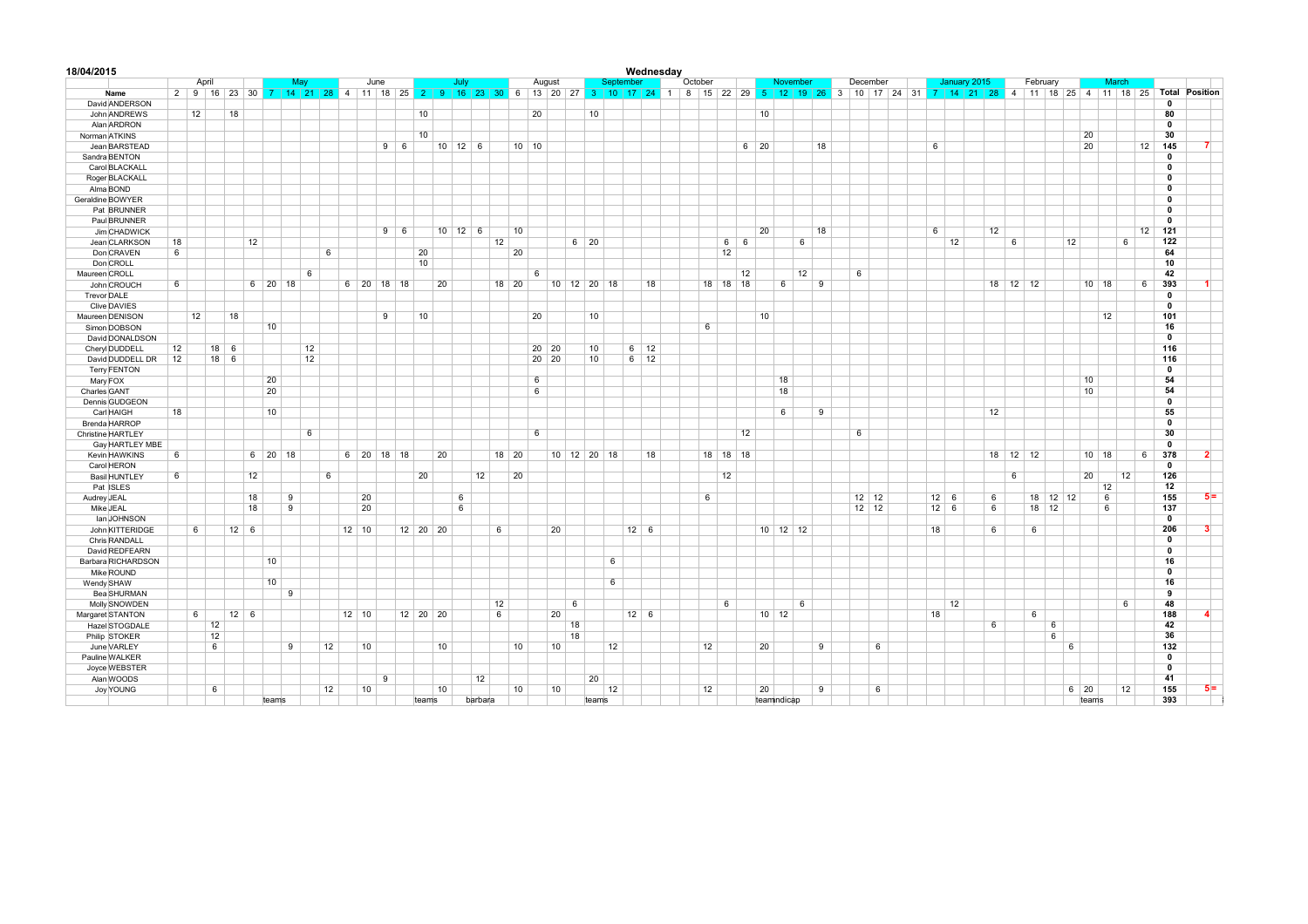| 18/04/2015                           |    |                |                   |                     |        |                 |                    |            |                      |                     |         |         |              |    |               |                 | Wednesday    |                 |            |             |              |          |    |                                                                                                                                              |                 |              |              |    |          |                 |             |              |                 |               |                         |
|--------------------------------------|----|----------------|-------------------|---------------------|--------|-----------------|--------------------|------------|----------------------|---------------------|---------|---------|--------------|----|---------------|-----------------|--------------|-----------------|------------|-------------|--------------|----------|----|----------------------------------------------------------------------------------------------------------------------------------------------|-----------------|--------------|--------------|----|----------|-----------------|-------------|--------------|-----------------|---------------|-------------------------|
|                                      |    | April          |                   |                     | May    |                 | June               |            |                      | July                |         |         | August       |    |               |                 | September    | October         |            |             |              | November |    | December                                                                                                                                     |                 |              | January 2015 |    | February |                 |             | March        |                 |               |                         |
| Name                                 |    | 2 9 16 23 30 7 |                   |                     |        |                 |                    |            |                      |                     |         |         |              |    |               |                 |              |                 |            |             |              |          |    | 14 21 28 4 11 18 25 2 9 16 23 30 6 13 20 27 3 10 17 24 1 8 15 22 29 5 12 19 26 3 10 17 24 31 7 14 21 28 4 11 18 25 4 11 18 25 Total Position |                 |              |              |    |          |                 |             |              |                 |               |                         |
| David ANDERSON                       |    |                |                   |                     |        |                 |                    |            |                      |                     |         |         |              |    |               |                 |              |                 |            |             |              |          |    |                                                                                                                                              |                 |              |              |    |          |                 |             |              |                 | $\mathbf 0$   |                         |
| John ANDREWS                         |    | 12             | 18                |                     |        |                 |                    |            | 10                   |                     |         |         | 20           |    | 10            |                 |              |                 |            |             | 10           |          |    |                                                                                                                                              |                 |              |              |    |          |                 |             |              |                 | 80            |                         |
| Alan ARDRON                          |    |                |                   |                     |        |                 |                    |            |                      |                     |         |         |              |    |               |                 |              |                 |            |             |              |          |    |                                                                                                                                              |                 |              |              |    |          |                 |             |              |                 | $\mathbf{0}$  |                         |
| Norman ATKINS                        |    |                |                   |                     |        |                 |                    |            | 10                   |                     |         |         |              |    |               |                 |              |                 |            |             |              |          |    |                                                                                                                                              |                 |              |              |    |          |                 | 20          |              |                 | 30            |                         |
| Jean BARSTEAD                        |    |                |                   |                     |        |                 |                    | $9 \mid 6$ |                      | $10$ 12 6           |         |         | $10 \mid 10$ |    |               |                 |              |                 |            | $6 \mid 20$ |              |          | 18 |                                                                                                                                              |                 | 6            |              |    |          |                 | 20          |              |                 | 12<br>145     | $\overline{7}$          |
| Sandra BENTON                        |    |                |                   |                     |        |                 |                    |            |                      |                     |         |         |              |    |               |                 |              |                 |            |             |              |          |    |                                                                                                                                              |                 |              |              |    |          |                 |             |              |                 | $\mathbf{0}$  |                         |
| Carol BLACKALL                       |    |                |                   |                     |        |                 |                    |            |                      |                     |         |         |              |    |               |                 |              |                 |            |             |              |          |    |                                                                                                                                              |                 |              |              |    |          |                 |             |              |                 | 0             |                         |
| Roger BLACKALL                       |    |                |                   |                     |        |                 |                    |            |                      |                     |         |         |              |    |               |                 |              |                 |            |             |              |          |    |                                                                                                                                              |                 |              |              |    |          |                 |             |              |                 | $\Omega$      |                         |
| Alma BOND                            |    |                |                   |                     |        |                 |                    |            |                      |                     |         |         |              |    |               |                 |              |                 |            |             |              |          |    |                                                                                                                                              |                 |              |              |    |          |                 |             |              |                 | $\mathbf{0}$  |                         |
| Geraldine BOWYER                     |    |                |                   |                     |        |                 |                    |            |                      |                     |         |         |              |    |               |                 |              |                 |            |             |              |          |    |                                                                                                                                              |                 |              |              |    |          |                 |             |              |                 | $\mathbf{0}$  |                         |
| Pat BRUNNER                          |    |                |                   |                     |        |                 |                    |            |                      |                     |         |         |              |    |               |                 |              |                 |            |             |              |          |    |                                                                                                                                              |                 |              |              |    |          |                 |             |              |                 | $\mathbf{0}$  |                         |
| Paul BRUNNER                         |    |                |                   |                     |        |                 |                    |            |                      |                     |         |         |              |    |               |                 |              |                 |            |             |              |          |    |                                                                                                                                              |                 |              |              |    |          |                 |             |              |                 | $\Omega$      |                         |
| Jim CHADWICK                         |    |                |                   |                     |        |                 |                    | $9 \t6$    |                      | $10 \mid 12 \mid 6$ |         | 10      |              |    |               |                 |              |                 |            |             | 20           |          | 18 |                                                                                                                                              |                 | 6            |              | 12 |          |                 |             |              |                 | 12<br>121     |                         |
| Jean CLARKSON                        | 18 |                | 12                |                     |        |                 |                    |            |                      |                     |         | 12      |              |    | $6 \mid 20$   |                 |              |                 | $6 \mid 6$ |             |              | 6        |    |                                                                                                                                              |                 | 12           |              |    | 6        |                 | 12          |              | 6               | 122           |                         |
| Don CRAVEN                           | 6  |                |                   |                     |        | 6               |                    |            | 20                   |                     |         | 20      |              |    |               |                 |              |                 | 12         |             |              |          |    |                                                                                                                                              |                 |              |              |    |          |                 |             |              |                 | 64            |                         |
| Don CROLL                            |    |                |                   |                     |        |                 |                    |            | 10                   |                     |         |         |              |    |               |                 |              |                 |            |             |              |          |    |                                                                                                                                              |                 |              |              |    |          |                 |             |              |                 | 10            |                         |
|                                      |    |                |                   |                     | 6      |                 |                    |            |                      |                     |         |         |              |    |               |                 |              |                 |            |             |              |          |    |                                                                                                                                              |                 |              |              |    |          |                 |             |              |                 |               |                         |
| Maureen CROLL                        |    |                |                   |                     |        |                 |                    |            |                      |                     |         |         | 6            |    |               |                 |              |                 |            | 12          |              | 12       |    | 6                                                                                                                                            |                 |              |              |    |          |                 |             |              |                 | 42<br>393     |                         |
| John CROUCH                          | 6  |                |                   | $6$ 20 18           |        |                 | 6 20 18 18         |            |                      | 20                  |         | 18 20   |              |    | 10 12 20 18   |                 | 18           |                 | 18 18 18   |             | 6            |          | 9  |                                                                                                                                              |                 |              |              |    | 18 12 12 |                 |             | $10 \mid 18$ |                 | 6<br>$\Omega$ |                         |
| Trevor DALE                          |    |                |                   |                     |        |                 |                    |            |                      |                     |         |         |              |    |               |                 |              |                 |            |             |              |          |    |                                                                                                                                              |                 |              |              |    |          |                 |             |              |                 |               |                         |
| Clive DAVIES                         |    |                |                   |                     |        |                 |                    |            |                      |                     |         |         |              |    |               |                 |              |                 |            |             |              |          |    |                                                                                                                                              |                 |              |              |    |          |                 |             |              |                 | 0             |                         |
| Maureen DENISON                      |    | 12             | 18                |                     |        |                 | 9                  |            | 10                   |                     |         |         | 20           |    | 10            |                 |              |                 |            |             | 10           |          |    |                                                                                                                                              |                 |              |              |    |          |                 |             | 12           |                 | 101           |                         |
| Simon DOBSON                         |    |                |                   | 10                  |        |                 |                    |            |                      |                     |         |         |              |    |               |                 |              | $6\overline{6}$ |            |             |              |          |    |                                                                                                                                              |                 |              |              |    |          |                 |             |              |                 | 16            |                         |
| David DONALDSON                      |    |                |                   |                     |        |                 |                    |            |                      |                     |         |         |              |    |               |                 |              |                 |            |             |              |          |    |                                                                                                                                              |                 |              |              |    |          |                 |             |              |                 | $\mathbf{0}$  |                         |
| Cheryl DUDDELL                       | 12 |                | $18$ 6            |                     | 12     |                 |                    |            |                      |                     |         |         | 20 20        |    | 10            |                 | $6 \mid 12$  |                 |            |             |              |          |    |                                                                                                                                              |                 |              |              |    |          |                 |             |              |                 | 116           |                         |
| David DUDDELL DR                     | 12 |                | $18 \overline{6}$ |                     | 12     |                 |                    |            |                      |                     |         |         | $20$ 20      |    | 10            |                 | $6 \mid 12$  |                 |            |             |              |          |    |                                                                                                                                              |                 |              |              |    |          |                 |             |              |                 | 116           |                         |
| Terry FENTON                         |    |                |                   |                     |        |                 |                    |            |                      |                     |         |         |              |    |               |                 |              |                 |            |             |              |          |    |                                                                                                                                              |                 |              |              |    |          |                 |             |              |                 | $\mathbf{0}$  |                         |
| Mary FOX                             |    |                |                   | 20                  |        |                 |                    |            |                      |                     |         |         | 6            |    |               |                 |              |                 |            |             | 18           |          |    |                                                                                                                                              |                 |              |              |    |          |                 | 10          |              |                 | 54            |                         |
| Charles GANT                         |    |                |                   | 20                  |        |                 |                    |            |                      |                     |         |         | 6            |    |               |                 |              |                 |            |             | 18           |          |    |                                                                                                                                              |                 |              |              |    |          |                 | 10          |              |                 | 54            |                         |
| Dennis GUDGEON                       |    |                |                   |                     |        |                 |                    |            |                      |                     |         |         |              |    |               |                 |              |                 |            |             |              |          |    |                                                                                                                                              |                 |              |              |    |          |                 |             |              |                 | $\mathbf 0$   |                         |
| Carl HAIGH                           | 18 |                |                   | 10                  |        |                 |                    |            |                      |                     |         |         |              |    |               |                 |              |                 |            |             | 6            |          | 9  |                                                                                                                                              |                 |              |              | 12 |          |                 |             |              |                 | 55            |                         |
| Brenda HARROP                        |    |                |                   |                     |        |                 |                    |            |                      |                     |         |         |              |    |               |                 |              |                 |            |             |              |          |    |                                                                                                                                              |                 |              |              |    |          |                 |             |              |                 | $\mathbf{0}$  |                         |
| Christine HARTLEY                    |    |                |                   |                     | 6      |                 |                    |            |                      |                     |         |         | 6            |    |               |                 |              |                 |            | 12          |              |          |    | 6                                                                                                                                            |                 |              |              |    |          |                 |             |              |                 | 30            |                         |
| Gay HARTLEY MBE                      |    |                |                   |                     |        |                 |                    |            |                      |                     |         |         |              |    |               |                 |              |                 |            |             |              |          |    |                                                                                                                                              |                 |              |              |    |          |                 |             |              |                 | $\mathbf{0}$  |                         |
| Kevin HAWKINS                        | 6  |                |                   | $6 \mid 20 \mid 18$ |        |                 | $6$   20   18   18 |            |                      | 20                  |         | $18$ 20 |              |    | $10$ 12 20 18 |                 | 18           |                 | $18$ 18 18 |             |              |          |    |                                                                                                                                              |                 |              |              |    | 18 12 12 |                 |             | $10 \mid 18$ |                 | 378<br>6      | $\overline{2}$          |
| Carol HERON                          |    |                |                   |                     |        |                 |                    |            |                      |                     |         |         |              |    |               |                 |              |                 |            |             |              |          |    |                                                                                                                                              |                 |              |              |    |          |                 |             |              |                 | $\mathbf{0}$  |                         |
| Basil HUNTLEY                        | 6  |                | 12                |                     |        | $6\overline{6}$ |                    |            | 20                   |                     | 12      | 20      |              |    |               |                 |              |                 | 12         |             |              |          |    |                                                                                                                                              |                 |              |              |    | 6        |                 | 20          |              | 12              | 126           |                         |
| Pat ISLES                            |    |                |                   |                     |        |                 |                    |            |                      |                     |         |         |              |    |               |                 |              |                 |            |             |              |          |    |                                                                                                                                              |                 |              |              |    |          |                 |             | 12           |                 | 12            |                         |
| Audrey JEAL                          |    |                | 18                |                     | 9      |                 | 20                 |            |                      | 6                   |         |         |              |    |               |                 |              | 6               |            |             |              |          |    | $12$ 12                                                                                                                                      |                 | $12 \quad 6$ |              | 6  |          | $18$ 12         | 12          | 6            |                 | 155           | $5 =$                   |
| Mike JEAL                            |    |                | 18                |                     | 9      |                 | 20                 |            |                      | 6                   |         |         |              |    |               |                 |              |                 |            |             |              |          |    | $12$ 12                                                                                                                                      |                 | $12 \quad 6$ |              | 6  |          | 18 12           |             | 6            |                 | 137           |                         |
| lan JOHNSON                          |    |                |                   |                     |        |                 |                    |            |                      |                     |         |         |              |    |               |                 |              |                 |            |             |              |          |    |                                                                                                                                              |                 |              |              |    |          |                 |             |              |                 | $\mathbf{0}$  |                         |
| John KITTERIDGE                      |    | 6              | $12 \mid 6$       |                     |        |                 | $12$ 10            |            | $12 \mid 20 \mid 20$ |                     |         | 6       |              | 20 |               |                 | $12 \quad 6$ |                 |            |             | $10$ 12 12   |          |    |                                                                                                                                              |                 | 18           |              | 6  | 6        |                 |             |              |                 | 206           | $\overline{\mathbf{3}}$ |
| Chris RANDALL                        |    |                |                   |                     |        |                 |                    |            |                      |                     |         |         |              |    |               |                 |              |                 |            |             |              |          |    |                                                                                                                                              |                 |              |              |    |          |                 |             |              |                 | $\mathbf{0}$  |                         |
|                                      |    |                |                   |                     |        |                 |                    |            |                      |                     |         |         |              |    |               |                 |              |                 |            |             |              |          |    |                                                                                                                                              |                 |              |              |    |          |                 |             |              |                 | $\mathbf 0$   |                         |
| David REDFEARN<br>Barbara RICHARDSON |    |                |                   | 10                  |        |                 |                    |            |                      |                     |         |         |              |    |               | $6\overline{6}$ |              |                 |            |             |              |          |    |                                                                                                                                              |                 |              |              |    |          |                 |             |              |                 | 16            |                         |
|                                      |    |                |                   |                     |        |                 |                    |            |                      |                     |         |         |              |    |               |                 |              |                 |            |             |              |          |    |                                                                                                                                              |                 |              |              |    |          |                 |             |              |                 | 0             |                         |
| Mike ROUND                           |    |                |                   |                     |        |                 |                    |            |                      |                     |         |         |              |    |               |                 |              |                 |            |             |              |          |    |                                                                                                                                              |                 |              |              |    |          |                 |             |              |                 |               |                         |
| Wendy SHAW                           |    |                |                   | 10                  |        |                 |                    |            |                      |                     |         |         |              |    |               | 6               |              |                 |            |             |              |          |    |                                                                                                                                              |                 |              |              |    |          |                 |             |              |                 | 16            |                         |
| <b>Bea SHURMAN</b>                   |    |                |                   |                     | 9      |                 |                    |            |                      |                     |         |         |              |    |               |                 |              |                 |            |             |              |          |    |                                                                                                                                              |                 |              |              |    |          |                 |             |              |                 | 9             |                         |
| Molly SNOWDEN                        |    |                |                   |                     |        |                 |                    |            |                      |                     |         | 12      |              | 6  |               |                 |              |                 | 6          |             |              | 6        |    |                                                                                                                                              |                 | 12           |              |    |          |                 |             |              | $6\overline{6}$ | 48            |                         |
| Margaret STANTON                     |    | 6              | $12 \mid 6$       |                     |        |                 | $12$ 10            |            | $12 \mid 20 \mid 20$ |                     |         | 6       |              | 20 |               |                 | $12 \quad 6$ |                 |            |             | $10 \mid 12$ |          |    |                                                                                                                                              |                 | 18           |              |    | 6        |                 |             |              |                 | 188           | $\mathbf{A}$            |
| Hazel STOGDALE                       |    | 12             |                   |                     |        |                 |                    |            |                      |                     |         |         |              |    | 18            |                 |              |                 |            |             |              |          |    |                                                                                                                                              |                 |              |              | 6  |          | 6               |             |              |                 | 42            |                         |
| Philip STOKER                        |    | 12             |                   |                     |        |                 |                    |            |                      |                     |         |         |              |    | 18            |                 |              |                 |            |             |              |          |    |                                                                                                                                              |                 |              |              |    |          | $6\overline{6}$ |             |              |                 | 36            |                         |
| June VARLEY                          |    | 6              |                   |                     | $_{9}$ | 12              | 10                 |            |                      | 10                  |         | 10      |              | 10 |               | 12              |              | 12              |            |             | 20           |          | 9  |                                                                                                                                              | $6\overline{6}$ |              |              |    |          |                 | 6           |              |                 | 132           |                         |
| Pauline WALKER                       |    |                |                   |                     |        |                 |                    |            |                      |                     |         |         |              |    |               |                 |              |                 |            |             |              |          |    |                                                                                                                                              |                 |              |              |    |          |                 |             |              |                 | $\mathbf{0}$  |                         |
| Joyce WEBSTER                        |    |                |                   |                     |        |                 |                    |            |                      |                     |         |         |              |    |               |                 |              |                 |            |             |              |          |    |                                                                                                                                              |                 |              |              |    |          |                 |             |              |                 | $\mathbf{0}$  |                         |
| Alan WOODS                           |    |                |                   |                     |        |                 | $\mathbf{q}$       |            |                      |                     | 12      |         |              |    | 20            |                 |              |                 |            |             |              |          |    |                                                                                                                                              |                 |              |              |    |          |                 |             |              |                 | 41            |                         |
| Joy YOUNG                            |    | 6              |                   |                     |        | 12              | 10                 |            |                      | 10                  |         | 10      |              | 10 |               | 12              |              | 12              |            |             | 20           |          | 9  |                                                                                                                                              | $6\overline{6}$ |              |              |    |          |                 | $6 \mid 20$ |              | 12              | 155           | $5 =$                   |
|                                      |    |                |                   | teams               |        |                 |                    |            | teams                |                     | barbara |         |              |    | teams         |                 |              |                 |            |             | teamindicap  |          |    |                                                                                                                                              |                 |              |              |    |          |                 |             | teams        |                 | 393           |                         |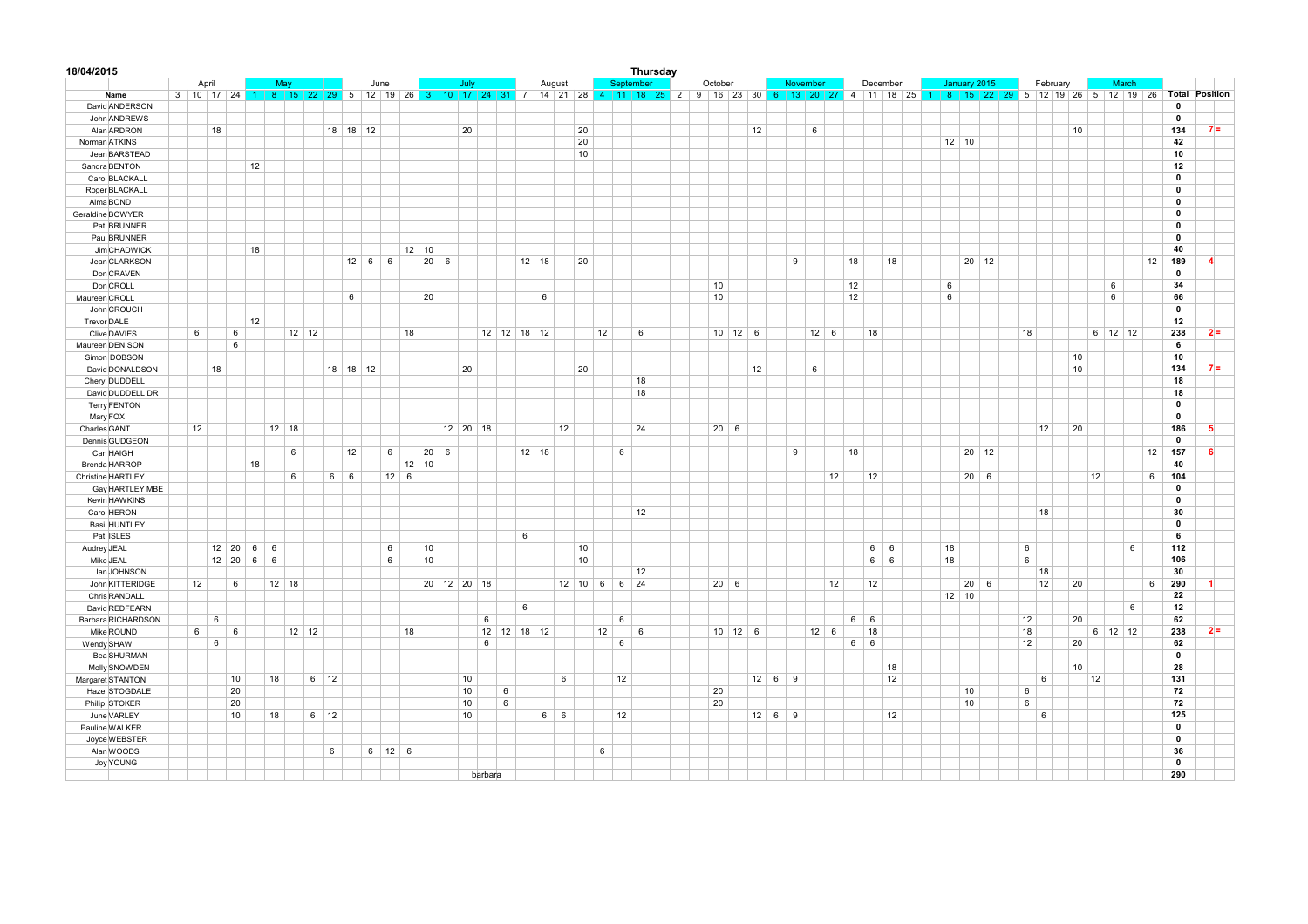| 18/04/2015           |                          |                     |    |                 |         |             |             |      |             |              |             |         |   |               |            |    |                 |                | Thursday |             |                     |             |                    |          |             |            |                      |                                                                                                                               |              |          |    |    |           |    |              |                |
|----------------------|--------------------------|---------------------|----|-----------------|---------|-------------|-------------|------|-------------|--------------|-------------|---------|---|---------------|------------|----|-----------------|----------------|----------|-------------|---------------------|-------------|--------------------|----------|-------------|------------|----------------------|-------------------------------------------------------------------------------------------------------------------------------|--------------|----------|----|----|-----------|----|--------------|----------------|
|                      | April                    |                     |    | May             |         |             |             | June |             |              |             | July    |   |               | August     |    |                 | September      |          | October     |                     |             |                    | November |             |            | December             | January 2015                                                                                                                  |              | February |    |    | March     |    |              |                |
| Name                 | 3   10   17   24   1   8 |                     |    |                 |         |             |             |      |             |              |             |         |   |               |            |    |                 |                |          |             |                     |             |                    |          |             |            |                      | 15 22 29 5 12 19 26 3 10 17 24 31 7 14 21 28 4 11 18 25 2 9 16 23 30 6 13 20 27 4 11 18 25 1 8 15 22 29 5 12 19 26 5 12 19 26 |              |          |    |    |           |    | Total        | Position       |
| David ANDERSON       |                          |                     |    |                 |         |             |             |      |             |              |             |         |   |               |            |    |                 |                |          |             |                     |             |                    |          |             |            |                      |                                                                                                                               |              |          |    |    |           |    | $\mathbf 0$  |                |
| John ANDREWS         |                          |                     |    |                 |         |             |             |      |             |              |             |         |   |               |            |    |                 |                |          |             |                     |             |                    |          |             |            |                      |                                                                                                                               |              |          |    |    |           |    | $\mathbf 0$  |                |
| Alan ARDRON          | 18                       |                     |    |                 |         | $18$ 18 12  |             |      |             |              | 20          |         |   |               |            | 20 |                 |                |          |             |                     | 12          |                    | 6        |             |            |                      |                                                                                                                               |              |          | 10 |    |           |    | 134          | $7 =$          |
| Norman ATKINS        |                          |                     |    |                 |         |             |             |      |             |              |             |         |   |               |            | 20 |                 |                |          |             |                     |             |                    |          |             |            |                      | $12$ 10                                                                                                                       |              |          |    |    |           |    | 42           |                |
| Jean BARSTEAD        |                          |                     |    |                 |         |             |             |      |             |              |             |         |   |               |            | 10 |                 |                |          |             |                     |             |                    |          |             |            |                      |                                                                                                                               |              |          |    |    |           |    | 10           |                |
| Sandra BENTON        |                          |                     | 12 |                 |         |             |             |      |             |              |             |         |   |               |            |    |                 |                |          |             |                     |             |                    |          |             |            |                      |                                                                                                                               |              |          |    |    |           |    | 12           |                |
| Carol BLACKALL       |                          |                     |    |                 |         |             |             |      |             |              |             |         |   |               |            |    |                 |                |          |             |                     |             |                    |          |             |            |                      |                                                                                                                               |              |          |    |    |           |    | $\mathbf 0$  |                |
| Roger BLACKALL       |                          |                     |    |                 |         |             |             |      |             |              |             |         |   |               |            |    |                 |                |          |             |                     |             |                    |          |             |            |                      |                                                                                                                               |              |          |    |    |           |    | $\mathbf 0$  |                |
| Alma BOND            |                          |                     |    |                 |         |             |             |      |             |              |             |         |   |               |            |    |                 |                |          |             |                     |             |                    |          |             |            |                      |                                                                                                                               |              |          |    |    |           |    | $\mathbf 0$  |                |
| Geraldine BOWYER     |                          |                     |    |                 |         |             |             |      |             |              |             |         |   |               |            |    |                 |                |          |             |                     |             |                    |          |             |            |                      |                                                                                                                               |              |          |    |    |           |    | $\pmb{0}$    |                |
| Pat BRUNNER          |                          |                     |    |                 |         |             |             |      |             |              |             |         |   |               |            |    |                 |                |          |             |                     |             |                    |          |             |            |                      |                                                                                                                               |              |          |    |    |           |    | $\mathbf 0$  |                |
| Paul BRUNNER         |                          |                     |    |                 |         |             |             |      |             |              |             |         |   |               |            |    |                 |                |          |             |                     |             |                    |          |             |            |                      |                                                                                                                               |              |          |    |    |           |    | $\mathbf{0}$ |                |
| Jim CHADWICK         |                          |                     | 18 |                 |         |             |             |      |             | $12 \mid 10$ |             |         |   |               |            |    |                 |                |          |             |                     |             |                    |          |             |            |                      |                                                                                                                               |              |          |    |    |           |    | 40           |                |
| Jean CLARKSON        |                          |                     |    |                 |         |             | $12 \mid 6$ | 6    |             | $20 \quad 6$ |             |         |   | $12$ 18       |            | 20 |                 |                |          |             |                     |             | 9                  |          |             | 18         | 18                   |                                                                                                                               | $20$ 12      |          |    |    |           | 12 | 189          | $\overline{4}$ |
| Don CRAVEN           |                          |                     |    |                 |         |             |             |      |             |              |             |         |   |               |            |    |                 |                |          |             |                     |             |                    |          |             |            |                      |                                                                                                                               |              |          |    |    |           |    | $\pmb{0}$    |                |
| Don CROLL            |                          |                     |    |                 |         |             |             |      |             |              |             |         |   |               |            |    |                 |                |          | 10          |                     |             |                    |          |             | 12         |                      | 6                                                                                                                             |              |          |    |    | 6         |    | 34           |                |
| Maureen CROLL        |                          |                     |    |                 |         |             | 6           |      |             | 20           |             |         |   | 6             |            |    |                 |                |          | 10          |                     |             |                    |          |             | 12         |                      | 6                                                                                                                             |              |          |    |    | 6         |    | 66           |                |
| John CROUCH          |                          |                     |    |                 |         |             |             |      |             |              |             |         |   |               |            |    |                 |                |          |             |                     |             |                    |          |             |            |                      |                                                                                                                               |              |          |    |    |           |    | $\mathbf 0$  |                |
| <b>Trevor DALE</b>   |                          |                     | 12 |                 |         |             |             |      |             |              |             |         |   |               |            |    |                 |                |          |             |                     |             |                    |          |             |            |                      |                                                                                                                               |              |          |    |    |           |    | 12           |                |
| Clive DAVIES         | $\,6\,$                  | 6                   |    |                 | $12$ 12 |             |             |      | 18          |              |             |         |   | $12$ 12 18 12 |            |    | 12              | 6              |          |             | $10 \mid 12 \mid 6$ |             |                    |          | $12 \mid 6$ |            | 18                   |                                                                                                                               |              | 18       |    |    | $6$ 12 12 |    | 238          | $2 =$          |
| Maureen DENISON      |                          | 6                   |    |                 |         |             |             |      |             |              |             |         |   |               |            |    |                 |                |          |             |                     |             |                    |          |             |            |                      |                                                                                                                               |              |          |    |    |           |    | 6            |                |
| Simon DOBSON         |                          |                     |    |                 |         |             |             |      |             |              |             |         |   |               |            |    |                 |                |          |             |                     |             |                    |          |             |            |                      |                                                                                                                               |              |          | 10 |    |           |    | 10           |                |
| David DONALDSON      | 18                       |                     |    |                 |         | 18 18 12    |             |      |             |              |             | 20      |   |               |            | 20 |                 |                |          |             |                     | 12          |                    | 6        |             |            |                      |                                                                                                                               |              |          | 10 |    |           |    | 134          | $7 =$          |
| Cheryl DUDDELL       |                          |                     |    |                 |         |             |             |      |             |              |             |         |   |               |            |    |                 |                | 18       |             |                     |             |                    |          |             |            |                      |                                                                                                                               |              |          |    |    |           |    | 18           |                |
|                      |                          |                     |    |                 |         |             |             |      |             |              |             |         |   |               |            |    |                 | 18             |          |             |                     |             |                    |          |             |            |                      |                                                                                                                               |              |          |    |    |           |    | 18           |                |
| David DUDDELL DR     |                          |                     |    |                 |         |             |             |      |             |              |             |         |   |               |            |    |                 |                |          |             |                     |             |                    |          |             |            |                      |                                                                                                                               |              |          |    |    |           |    | $\mathbf 0$  |                |
| <b>Terry FENTON</b>  |                          |                     |    |                 |         |             |             |      |             |              |             |         |   |               |            |    |                 |                |          |             |                     |             |                    |          |             |            |                      |                                                                                                                               |              |          |    |    |           |    | $\mathbf{0}$ |                |
| Mary FOX             |                          |                     |    |                 |         |             |             |      |             |              |             |         |   |               |            |    |                 |                |          |             |                     |             |                    |          |             |            |                      |                                                                                                                               |              |          |    |    |           |    | 186          | 5              |
| Charles GANT         | 12                       |                     |    | $12$ 18         |         |             |             |      |             |              | $12$ 20 18  |         |   |               | 12         |    |                 | 24             |          | $20 \mid 6$ |                     |             |                    |          |             |            |                      |                                                                                                                               |              | 12       | 20 |    |           |    | $\mathbf{0}$ |                |
| Dennis GUDGEON       |                          |                     |    |                 |         |             |             |      |             |              |             |         |   |               |            |    |                 |                |          |             |                     |             |                    |          |             |            |                      |                                                                                                                               |              |          |    |    |           |    |              | 6              |
| Carl HAIGH           |                          |                     |    | $\,6\,$         |         |             | 12          |      | $\,6\,$     | $20 \mid 6$  |             |         |   | $12$ 18       |            |    |                 | $\,6\,$        |          |             |                     |             | 9                  |          |             | 18         |                      |                                                                                                                               | $20$ 12      |          |    |    |           | 12 | 157          |                |
| Brenda HARROP        |                          |                     | 18 |                 |         |             |             |      | 12          | 10           |             |         |   |               |            |    |                 |                |          |             |                     |             |                    |          |             |            |                      |                                                                                                                               |              |          |    |    |           |    | 40           |                |
| Christine HARTLEY    |                          |                     |    | $6\phantom{1}6$ |         | 6           | 6           |      | $12 \mid 6$ |              |             |         |   |               |            |    |                 |                |          |             |                     |             |                    |          | 12          |            | 12                   |                                                                                                                               | $20 \quad 6$ |          |    | 12 |           | 6  | 104          |                |
| Gay HARTLEY MBE      |                          |                     |    |                 |         |             |             |      |             |              |             |         |   |               |            |    |                 |                |          |             |                     |             |                    |          |             |            |                      |                                                                                                                               |              |          |    |    |           |    | $\mathbf 0$  |                |
| Kevin HAWKINS        |                          |                     |    |                 |         |             |             |      |             |              |             |         |   |               |            |    |                 |                |          |             |                     |             |                    |          |             |            |                      |                                                                                                                               |              |          |    |    |           |    | $\mathbf 0$  |                |
| Carol HERON          |                          |                     |    |                 |         |             |             |      |             |              |             |         |   |               |            |    |                 | 12             |          |             |                     |             |                    |          |             |            |                      |                                                                                                                               |              | 18       |    |    |           |    | 30           |                |
| <b>Basil HUNTLEY</b> |                          |                     |    |                 |         |             |             |      |             |              |             |         |   |               |            |    |                 |                |          |             |                     |             |                    |          |             |            |                      |                                                                                                                               |              |          |    |    |           |    | $\mathbf 0$  |                |
| Pat ISLES            |                          |                     |    |                 |         |             |             |      |             |              |             |         |   | 6             |            |    |                 |                |          |             |                     |             |                    |          |             |            |                      |                                                                                                                               |              |          |    |    |           |    | 6            |                |
| Audrey JEAL          |                          | $12 \mid 20 \mid 6$ |    | 6               |         |             |             | 6    |             | 10           |             |         |   |               |            | 10 |                 |                |          |             |                     |             |                    |          |             |            | $6\overline{6}$<br>6 | 18                                                                                                                            |              | 6        |    |    | 6         |    | 112          |                |
| Mike JEAL            |                          | $12 \mid 20 \mid$   | 6  | 6               |         |             |             |      | 6           | 10           |             |         |   |               |            | 10 |                 |                |          |             |                     |             |                    |          |             |            | 6<br>6               | 18                                                                                                                            |              | 6        |    |    |           |    | 106          |                |
| lan JOHNSON          |                          |                     |    |                 |         |             |             |      |             |              |             |         |   |               |            |    |                 |                | 12       |             |                     |             |                    |          |             |            |                      |                                                                                                                               |              | 18       |    |    |           |    | 30           |                |
| John KITTERIDGE      | 12                       | 6                   |    | $12$ 18         |         |             |             |      |             |              | 20 12 20 18 |         |   |               |            |    | $12$ 10 6 6 24  |                |          | $20 \mid 6$ |                     |             |                    |          | 12          |            | 12                   |                                                                                                                               | $20 \quad 6$ | 12       | 20 |    |           | 6  | 290          | 1              |
| Chris RANDALL        |                          |                     |    |                 |         |             |             |      |             |              |             |         |   |               |            |    |                 |                |          |             |                     |             |                    |          |             |            |                      | $12$ 10                                                                                                                       |              |          |    |    |           |    | 22           |                |
| David REDFEARN       |                          |                     |    |                 |         |             |             |      |             |              |             |         |   | 6             |            |    |                 |                |          |             |                     |             |                    |          |             |            |                      |                                                                                                                               |              |          |    |    | 6         |    | 12           |                |
| Barbara RICHARDSON   | 6                        |                     |    |                 |         |             |             |      |             |              |             | 6       |   |               |            |    |                 | $6\phantom{a}$ |          |             |                     |             |                    |          |             | $6 \mid 6$ |                      |                                                                                                                               |              | 12       | 20 |    |           |    | 62           |                |
| Mike ROUND           | $6\overline{6}$          | 6                   |    |                 | $12$ 12 |             |             |      | 18          |              |             |         |   | $12$ 12 18 12 |            |    | 12              | 6              |          |             | $10 \mid 12 \mid 6$ |             |                    |          | $12 \mid 6$ |            | 18                   |                                                                                                                               |              | 18       |    |    | $6$ 12 12 |    | 238          | $2 =$          |
| Wendy SHAW           | 6                        |                     |    |                 |         |             |             |      |             |              |             | 6       |   |               |            |    |                 | 6              |          |             |                     |             |                    |          |             | $6 \mid 6$ |                      |                                                                                                                               |              | 12       | 20 |    |           |    | 62           |                |
| Bea SHURMAN          |                          |                     |    |                 |         |             |             |      |             |              |             |         |   |               |            |    |                 |                |          |             |                     |             |                    |          |             |            |                      |                                                                                                                               |              |          |    |    |           |    | $\mathbf 0$  |                |
| Molly SNOWDEN        |                          |                     |    |                 |         |             |             |      |             |              |             |         |   |               |            |    |                 |                |          |             |                     |             |                    |          |             |            | 18                   |                                                                                                                               |              |          | 10 |    |           |    | 28           |                |
| Margaret STANTON     |                          | 10                  |    | 18              |         | $6 \mid 12$ |             |      |             |              |             | 10      |   |               | 6          |    |                 | 12             |          |             |                     |             | $12 \mid 6 \mid 9$ |          |             |            | 12                   |                                                                                                                               |              | 6        |    | 12 |           |    | 131          |                |
| Hazel STOGDALE       |                          | 20                  |    |                 |         |             |             |      |             |              |             | 10      | 6 |               |            |    |                 |                |          | 20          |                     |             |                    |          |             |            |                      | 10                                                                                                                            |              | 6        |    |    |           |    | 72           |                |
| Philip STOKER        |                          | 20                  |    |                 |         |             |             |      |             |              |             | 10      | 6 |               |            |    |                 |                |          | 20          |                     |             |                    |          |             |            |                      | 10                                                                                                                            |              | 6        |    |    |           |    | 72           |                |
| June VARLEY          |                          | 10                  |    | 18              |         | $6 \mid 12$ |             |      |             |              |             | 10      |   |               | $6 \mid 6$ |    |                 | 12             |          |             |                     | $12 \mid 6$ | $\vert$ 9          |          |             |            | 12                   |                                                                                                                               |              | 6        |    |    |           |    | 125          |                |
| Pauline WALKER       |                          |                     |    |                 |         |             |             |      |             |              |             |         |   |               |            |    |                 |                |          |             |                     |             |                    |          |             |            |                      |                                                                                                                               |              |          |    |    |           |    | $\mathbf 0$  |                |
| Joyce WEBSTER        |                          |                     |    |                 |         |             |             |      |             |              |             |         |   |               |            |    |                 |                |          |             |                     |             |                    |          |             |            |                      |                                                                                                                               |              |          |    |    |           |    | $\mathbf 0$  |                |
| Alan WOODS           |                          |                     |    |                 |         | $\,6\,$     |             |      | $6$ 12 6    |              |             |         |   |               |            |    | $6\overline{6}$ |                |          |             |                     |             |                    |          |             |            |                      |                                                                                                                               |              |          |    |    |           |    | 36           |                |
| Joy YOUNG            |                          |                     |    |                 |         |             |             |      |             |              |             |         |   |               |            |    |                 |                |          |             |                     |             |                    |          |             |            |                      |                                                                                                                               |              |          |    |    |           |    | $\mathbf{0}$ |                |
|                      |                          |                     |    |                 |         |             |             |      |             |              |             | barbara |   |               |            |    |                 |                |          |             |                     |             |                    |          |             |            |                      |                                                                                                                               |              |          |    |    |           |    | 290          |                |